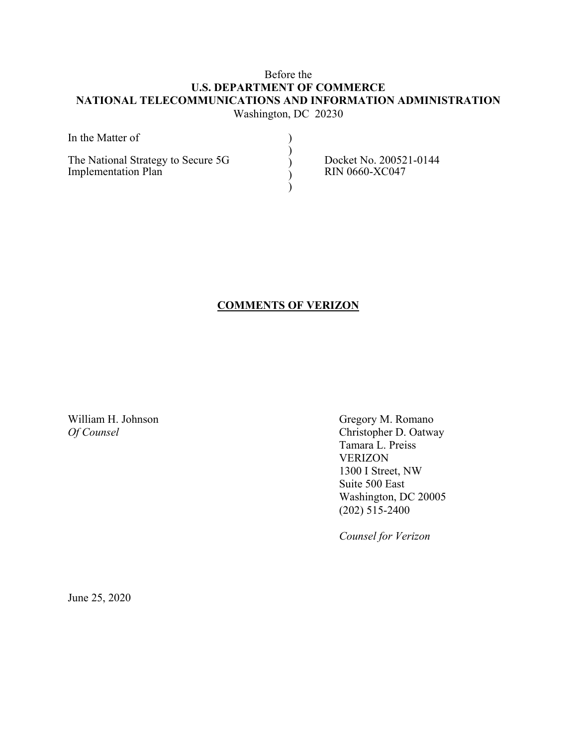# Before the **U.S. DEPARTMENT OF COMMERCE NATIONAL TELECOMMUNICATIONS AND INFORMATION ADMINISTRATION**  Washington, DC 20230

| In the Matter of                                                 |                                                 |
|------------------------------------------------------------------|-------------------------------------------------|
| The National Strategy to Secure 5G<br><b>Implementation Plan</b> | Docket No. 200521-0144<br><b>RIN 0660-XC047</b> |

# **COMMENTS OF VERIZON**

William H. Johnson Gregory M. Romano *Of Counsel* Christopher D. Oatway Tamara L. Preiss VERIZON 1300 I Street, NW Suite 500 East Washington, DC 20005  $(202)$  515-2400

*Counsel for Verizon* 

June 25, 2020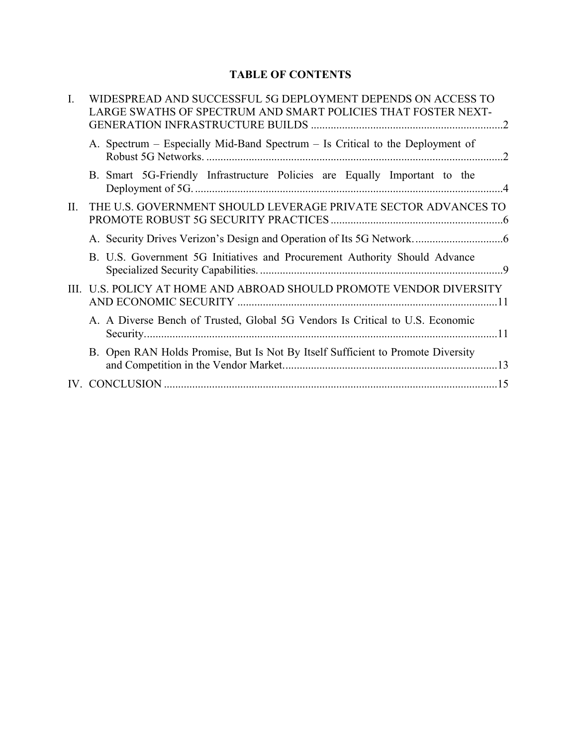# **TABLE OF CONTENTS**

| $\mathbf{I}$ . | WIDESPREAD AND SUCCESSFUL 5G DEPLOYMENT DEPENDS ON ACCESS TO<br>LARGE SWATHS OF SPECTRUM AND SMART POLICIES THAT FOSTER NEXT- |
|----------------|-------------------------------------------------------------------------------------------------------------------------------|
|                | A. Spectrum – Especially Mid-Band Spectrum – Is Critical to the Deployment of                                                 |
|                | B. Smart 5G-Friendly Infrastructure Policies are Equally Important to the                                                     |
| II.            | THE U.S. GOVERNMENT SHOULD LEVERAGE PRIVATE SECTOR ADVANCES TO                                                                |
|                |                                                                                                                               |
|                | B. U.S. Government 5G Initiatives and Procurement Authority Should Advance                                                    |
| HL.            | U.S. POLICY AT HOME AND ABROAD SHOULD PROMOTE VENDOR DIVERSITY                                                                |
|                | A. A Diverse Bench of Trusted, Global 5G Vendors Is Critical to U.S. Economic                                                 |
|                | B. Open RAN Holds Promise, But Is Not By Itself Sufficient to Promote Diversity                                               |
|                |                                                                                                                               |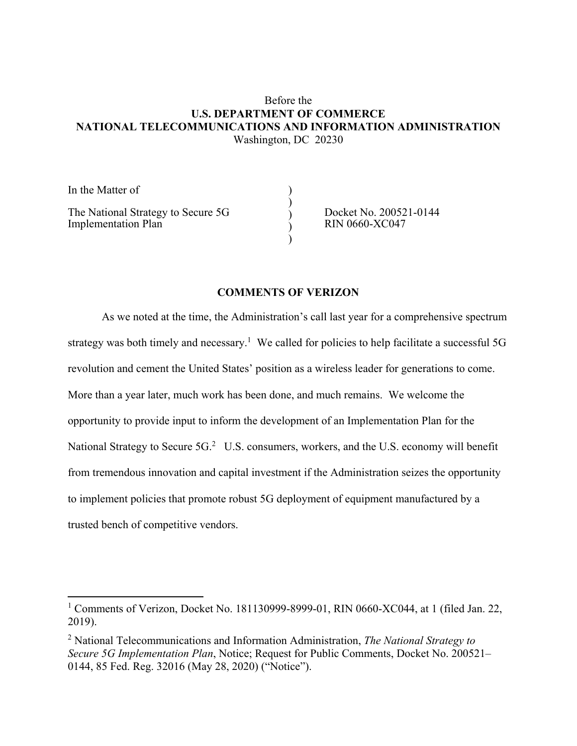### Before the **U.S. DEPARTMENT OF COMMERCE NATIONAL TELECOMMUNICATIONS AND INFORMATION ADMINISTRATION**  Washington, DC 20230

)  $\tilde{ }$  $\tilde{ }$  $\tilde{ }$  $\tilde{ }$ 

In the Matter of

l.

The National Strategy to Secure 5G Implementation Plan

Docket No. 200521-0144 RIN 0660-XC047

### **COMMENTS OF VERIZON**

As we noted at the time, the Administration's call last year for a comprehensive spectrum strategy was both timely and necessary.<sup>1</sup> We called for policies to help facilitate a successful 5G revolution and cement the United States' position as a wireless leader for generations to come. More than a year later, much work has been done, and much remains. We welcome the opportunity to provide input to inform the development of an Implementation Plan for the National Strategy to Secure  $5G<sup>2</sup>$  U.S. consumers, workers, and the U.S. economy will benefit from tremendous innovation and capital investment if the Administration seizes the opportunity to implement policies that promote robust 5G deployment of equipment manufactured by a trusted bench of competitive vendors.

<sup>&</sup>lt;sup>1</sup> Comments of Verizon, Docket No. 181130999-8999-01, RIN 0660-XC044, at 1 (filed Jan. 22, 2019).

<sup>2</sup> National Telecommunications and Information Administration, *The National Strategy to Secure 5G Implementation Plan*, Notice; Request for Public Comments, Docket No. 200521– 0144, 85 Fed. Reg. 32016 (May 28, 2020) ("Notice").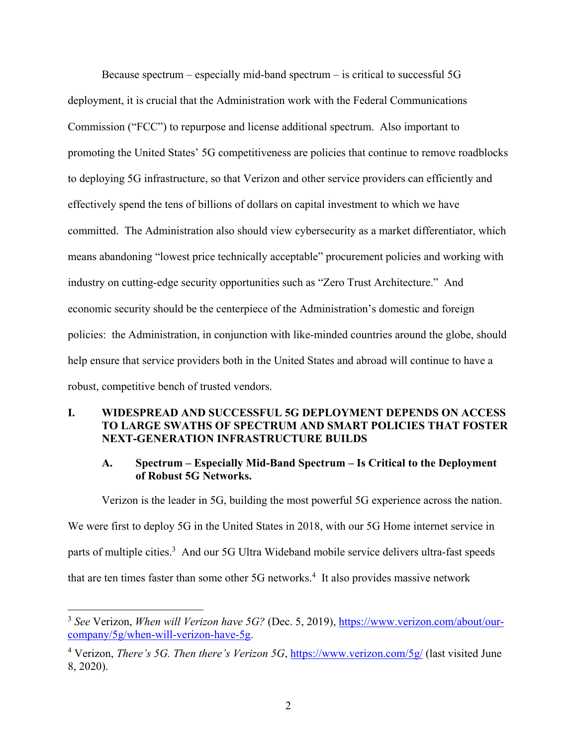Because spectrum – especially mid-band spectrum – is critical to successful 5G deployment, it is crucial that the Administration work with the Federal Communications Commission ("FCC") to repurpose and license additional spectrum. Also important to promoting the United States' 5G competitiveness are policies that continue to remove roadblocks to deploying 5G infrastructure, so that Verizon and other service providers can efficiently and effectively spend the tens of billions of dollars on capital investment to which we have committed. The Administration also should view cybersecurity as a market differentiator, which means abandoning "lowest price technically acceptable" procurement policies and working with industry on cutting-edge security opportunities such as "Zero Trust Architecture." And economic security should be the centerpiece of the Administration's domestic and foreign policies: the Administration, in conjunction with like-minded countries around the globe, should help ensure that service providers both in the United States and abroad will continue to have a robust, competitive bench of trusted vendors.

### **I. WIDESPREAD AND SUCCESSFUL 5G DEPLOYMENT DEPENDS ON ACCESS TO LARGE SWATHS OF SPECTRUM AND SMART POLICIES THAT FOSTER NEXT-GENERATION INFRASTRUCTURE BUILDS**

## **A. Spectrum – Especially Mid-Band Spectrum – Is Critical to the Deployment of Robust 5G Networks.**

Verizon is the leader in 5G, building the most powerful 5G experience across the nation.

We were first to deploy 5G in the United States in 2018, with our 5G Home internet service in parts of multiple cities.<sup>3</sup> And our 5G Ultra Wideband mobile service delivers ultra-fast speeds that are ten times faster than some other  $5G$  networks.<sup>4</sup> It also provides massive network

 $\overline{a}$ 

<sup>3</sup> *See* Verizon, *When will Verizon have 5G?* (Dec. 5, 2019), https://www.verizon.com/about/ourcompany/5g/when-will-verizon-have-5g.

<sup>4</sup> Verizon, *There's 5G. Then there's Verizon 5G*, https://www.verizon.com/5g/ (last visited June 8, 2020).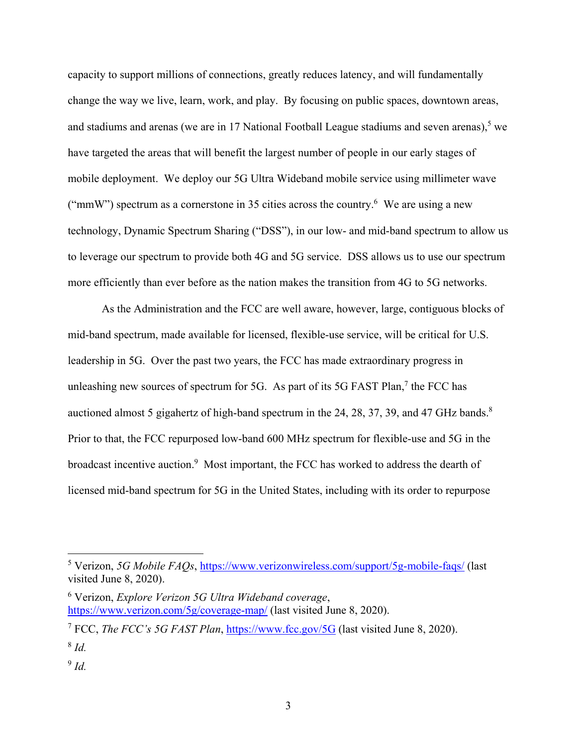capacity to support millions of connections, greatly reduces latency, and will fundamentally change the way we live, learn, work, and play. By focusing on public spaces, downtown areas, and stadiums and arenas (we are in 17 National Football League stadiums and seven arenas), we have targeted the areas that will benefit the largest number of people in our early stages of mobile deployment. We deploy our 5G Ultra Wideband mobile service using millimeter wave ("mmW") spectrum as a cornerstone in 35 cities across the country.<sup>6</sup> We are using a new technology, Dynamic Spectrum Sharing ("DSS"), in our low- and mid-band spectrum to allow us to leverage our spectrum to provide both 4G and 5G service. DSS allows us to use our spectrum more efficiently than ever before as the nation makes the transition from 4G to 5G networks.

As the Administration and the FCC are well aware, however, large, contiguous blocks of mid-band spectrum, made available for licensed, flexible-use service, will be critical for U.S. leadership in 5G. Over the past two years, the FCC has made extraordinary progress in unleashing new sources of spectrum for 5G. As part of its 5G FAST Plan,<sup>7</sup> the FCC has auctioned almost 5 gigahertz of high-band spectrum in the 24, 28, 37, 39, and 47 GHz bands.<sup>8</sup> Prior to that, the FCC repurposed low-band 600 MHz spectrum for flexible-use and 5G in the broadcast incentive auction.<sup>9</sup> Most important, the FCC has worked to address the dearth of licensed mid-band spectrum for 5G in the United States, including with its order to repurpose

<sup>5</sup> Verizon, *5G Mobile FAQs*, https://www.verizonwireless.com/support/5g-mobile-faqs/ (last visited June 8, 2020).

<sup>6</sup> Verizon, *Explore Verizon 5G Ultra Wideband coverage*, https://www.verizon.com/5g/coverage-map/ (last visited June 8, 2020).

<sup>7</sup> FCC, *The FCC's 5G FAST Plan*, https://www.fcc.gov/5G (last visited June 8, 2020). 8 *Id.* 

<sup>9</sup> *Id.*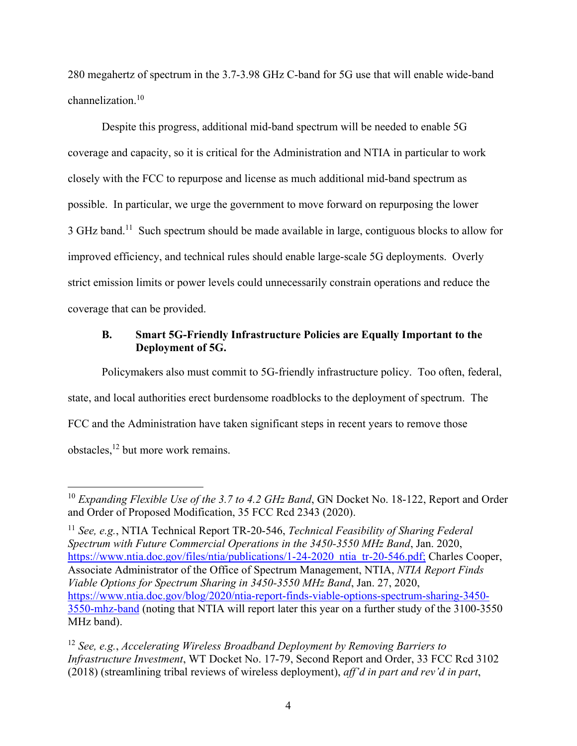280 megahertz of spectrum in the 3.7-3.98 GHz C-band for 5G use that will enable wide-band channelization.<sup>10</sup>

Despite this progress, additional mid-band spectrum will be needed to enable 5G coverage and capacity, so it is critical for the Administration and NTIA in particular to work closely with the FCC to repurpose and license as much additional mid-band spectrum as possible. In particular, we urge the government to move forward on repurposing the lower 3 GHz band.<sup>11</sup> Such spectrum should be made available in large, contiguous blocks to allow for improved efficiency, and technical rules should enable large-scale 5G deployments. Overly strict emission limits or power levels could unnecessarily constrain operations and reduce the coverage that can be provided.

### **B. Smart 5G-Friendly Infrastructure Policies are Equally Important to the Deployment of 5G.**

Policymakers also must commit to 5G-friendly infrastructure policy. Too often, federal, state, and local authorities erect burdensome roadblocks to the deployment of spectrum. The FCC and the Administration have taken significant steps in recent years to remove those obstacles,<sup>12</sup> but more work remains.

<sup>&</sup>lt;sup>10</sup> Expanding Flexible Use of the 3.7 to 4.2 GHz Band, GN Docket No. 18-122, Report and Order and Order of Proposed Modification, 35 FCC Rcd 2343 (2020).

<sup>11</sup> *See, e.g.*, NTIA Technical Report TR-20-546, *Technical Feasibility of Sharing Federal Spectrum with Future Commercial Operations in the 3450-3550 MHz Band*, Jan. 2020, https://www.ntia.doc.gov/files/ntia/publications/1-24-2020 ntia tr-20-546.pdf; Charles Cooper, Associate Administrator of the Office of Spectrum Management, NTIA, *NTIA Report Finds Viable Options for Spectrum Sharing in 3450-3550 MHz Band*, Jan. 27, 2020, https://www.ntia.doc.gov/blog/2020/ntia-report-finds-viable-options-spectrum-sharing-3450- 3550-mhz-band (noting that NTIA will report later this year on a further study of the 3100-3550 MHz band).

<sup>12</sup> *See, e.g.*, *Accelerating Wireless Broadband Deployment by Removing Barriers to Infrastructure Investment*, WT Docket No. 17-79, Second Report and Order, 33 FCC Rcd 3102 (2018) (streamlining tribal reviews of wireless deployment), *aff'd in part and rev'd in part*,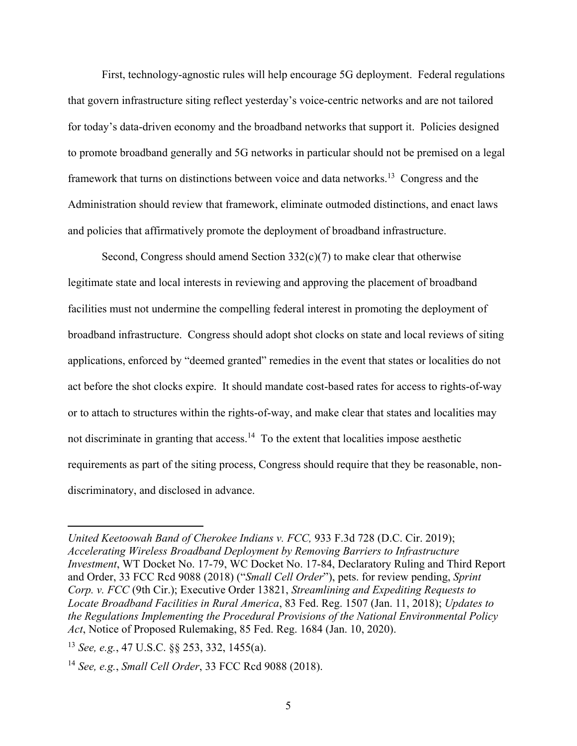First, technology-agnostic rules will help encourage 5G deployment. Federal regulations that govern infrastructure siting reflect yesterday's voice-centric networks and are not tailored for today's data-driven economy and the broadband networks that support it. Policies designed to promote broadband generally and 5G networks in particular should not be premised on a legal framework that turns on distinctions between voice and data networks.<sup>13</sup> Congress and the Administration should review that framework, eliminate outmoded distinctions, and enact laws and policies that affirmatively promote the deployment of broadband infrastructure.

Second, Congress should amend Section  $332(c)(7)$  to make clear that otherwise legitimate state and local interests in reviewing and approving the placement of broadband facilities must not undermine the compelling federal interest in promoting the deployment of broadband infrastructure. Congress should adopt shot clocks on state and local reviews of siting applications, enforced by "deemed granted" remedies in the event that states or localities do not act before the shot clocks expire. It should mandate cost-based rates for access to rights-of-way or to attach to structures within the rights-of-way, and make clear that states and localities may not discriminate in granting that  $access.^{14}$  To the extent that localities impose aesthetic requirements as part of the siting process, Congress should require that they be reasonable, nondiscriminatory, and disclosed in advance.

*United Keetoowah Band of Cherokee Indians v. FCC,* 933 F.3d 728 (D.C. Cir. 2019); *Accelerating Wireless Broadband Deployment by Removing Barriers to Infrastructure Investment*, WT Docket No. 17-79, WC Docket No. 17-84, Declaratory Ruling and Third Report and Order, 33 FCC Rcd 9088 (2018) ("*Small Cell Order*"), pets. for review pending, *Sprint Corp. v. FCC* (9th Cir.); Executive Order 13821, *Streamlining and Expediting Requests to Locate Broadband Facilities in Rural America*, 83 Fed. Reg. 1507 (Jan. 11, 2018); *Updates to the Regulations Implementing the Procedural Provisions of the National Environmental Policy Act*, Notice of Proposed Rulemaking, 85 Fed. Reg. 1684 (Jan. 10, 2020).

<sup>13</sup> *See, e.g.*, 47 U.S.C. §§ 253, 332, 1455(a).

<sup>14</sup> *See, e.g.*, *Small Cell Order*, 33 FCC Rcd 9088 (2018).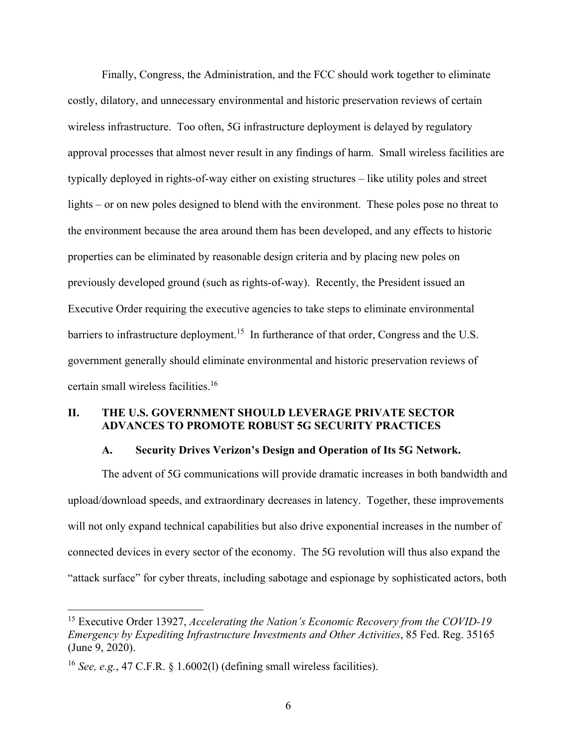Finally, Congress, the Administration, and the FCC should work together to eliminate costly, dilatory, and unnecessary environmental and historic preservation reviews of certain wireless infrastructure. Too often, 5G infrastructure deployment is delayed by regulatory approval processes that almost never result in any findings of harm. Small wireless facilities are typically deployed in rights-of-way either on existing structures – like utility poles and street lights – or on new poles designed to blend with the environment. These poles pose no threat to the environment because the area around them has been developed, and any effects to historic properties can be eliminated by reasonable design criteria and by placing new poles on previously developed ground (such as rights-of-way). Recently, the President issued an Executive Order requiring the executive agencies to take steps to eliminate environmental barriers to infrastructure deployment.<sup>15</sup> In furtherance of that order, Congress and the U.S. government generally should eliminate environmental and historic preservation reviews of certain small wireless facilities.<sup>16</sup>

## **II. THE U.S. GOVERNMENT SHOULD LEVERAGE PRIVATE SECTOR ADVANCES TO PROMOTE ROBUST 5G SECURITY PRACTICES**

#### **A. Security Drives Verizon's Design and Operation of Its 5G Network.**

The advent of 5G communications will provide dramatic increases in both bandwidth and upload/download speeds, and extraordinary decreases in latency. Together, these improvements will not only expand technical capabilities but also drive exponential increases in the number of connected devices in every sector of the economy. The 5G revolution will thus also expand the "attack surface" for cyber threats, including sabotage and espionage by sophisticated actors, both

<sup>15</sup> Executive Order 13927, *Accelerating the Nation's Economic Recovery from the COVID-19 Emergency by Expediting Infrastructure Investments and Other Activities*, 85 Fed. Reg. 35165 (June 9, 2020).

<sup>16</sup> *See, e.g.*, 47 C.F.R. § 1.6002(l) (defining small wireless facilities).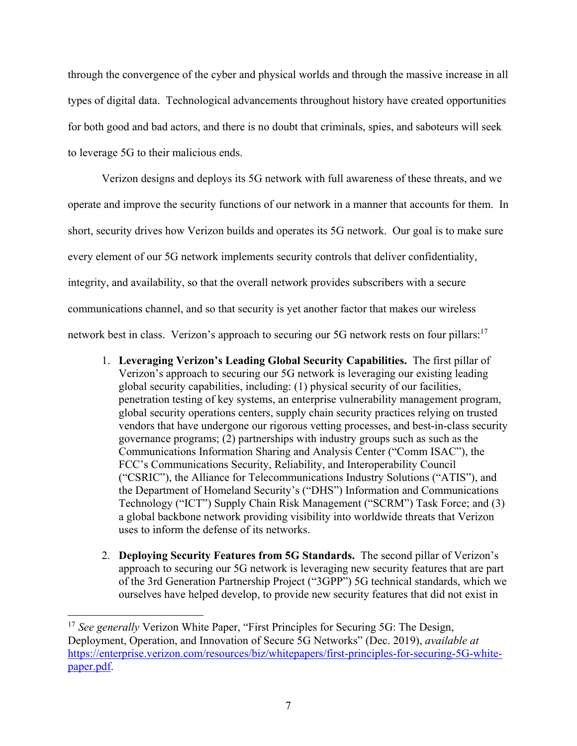through the convergence of the cyber and physical worlds and through the massive increase in all types of digital data. Technological advancements throughout history have created opportunities for both good and bad actors, and there is no doubt that criminals, spies, and saboteurs will seek to leverage 5G to their malicious ends.

Verizon designs and deploys its 5G network with full awareness of these threats, and we operate and improve the security functions of our network in a manner that accounts for them. In short, security drives how Verizon builds and operates its 5G network. Our goal is to make sure every element of our 5G network implements security controls that deliver confidentiality, integrity, and availability, so that the overall network provides subscribers with a secure communications channel, and so that security is yet another factor that makes our wireless network best in class. Verizon's approach to securing our 5G network rests on four pillars:<sup>17</sup>

- 1. **Leveraging Verizon's Leading Global Security Capabilities.** The first pillar of Verizon's approach to securing our 5G network is leveraging our existing leading global security capabilities, including: (1) physical security of our facilities, penetration testing of key systems, an enterprise vulnerability management program, global security operations centers, supply chain security practices relying on trusted vendors that have undergone our rigorous vetting processes, and best-in-class security governance programs; (2) partnerships with industry groups such as such as the Communications Information Sharing and Analysis Center ("Comm ISAC"), the FCC's Communications Security, Reliability, and Interoperability Council ("CSRIC"), the Alliance for Telecommunications Industry Solutions ("ATIS"), and the Department of Homeland Security's ("DHS") Information and Communications Technology ("ICT") Supply Chain Risk Management ("SCRM") Task Force; and (3) a global backbone network providing visibility into worldwide threats that Verizon uses to inform the defense of its networks.
- 2. **Deploying Security Features from 5G Standards.** The second pillar of Verizon's approach to securing our 5G network is leveraging new security features that are part of the 3rd Generation Partnership Project ("3GPP") 5G technical standards, which we ourselves have helped develop, to provide new security features that did not exist in

<sup>&</sup>lt;sup>17</sup> *See generally* Verizon White Paper, "First Principles for Securing 5G: The Design, Deployment, Operation, and Innovation of Secure 5G Networks" (Dec. 2019), *available at* https://enterprise.verizon.com/resources/biz/whitepapers/first-principles-for-securing-5G-whitepaper.pdf.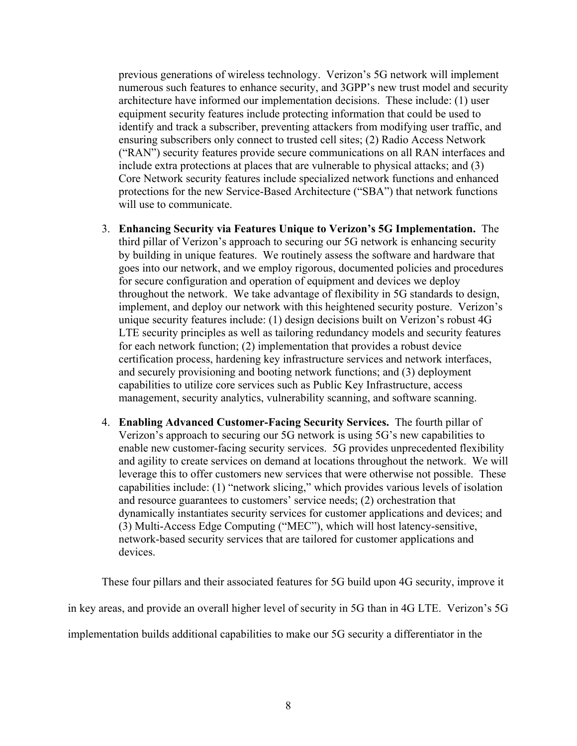previous generations of wireless technology. Verizon's 5G network will implement numerous such features to enhance security, and 3GPP's new trust model and security architecture have informed our implementation decisions. These include: (1) user equipment security features include protecting information that could be used to identify and track a subscriber, preventing attackers from modifying user traffic, and ensuring subscribers only connect to trusted cell sites; (2) Radio Access Network ("RAN") security features provide secure communications on all RAN interfaces and include extra protections at places that are vulnerable to physical attacks; and (3) Core Network security features include specialized network functions and enhanced protections for the new Service-Based Architecture ("SBA") that network functions will use to communicate.

- 3. **Enhancing Security via Features Unique to Verizon's 5G Implementation.** The third pillar of Verizon's approach to securing our 5G network is enhancing security by building in unique features. We routinely assess the software and hardware that goes into our network, and we employ rigorous, documented policies and procedures for secure configuration and operation of equipment and devices we deploy throughout the network. We take advantage of flexibility in 5G standards to design, implement, and deploy our network with this heightened security posture. Verizon's unique security features include: (1) design decisions built on Verizon's robust 4G LTE security principles as well as tailoring redundancy models and security features for each network function; (2) implementation that provides a robust device certification process, hardening key infrastructure services and network interfaces, and securely provisioning and booting network functions; and (3) deployment capabilities to utilize core services such as Public Key Infrastructure, access management, security analytics, vulnerability scanning, and software scanning.
- 4. **Enabling Advanced Customer-Facing Security Services.** The fourth pillar of Verizon's approach to securing our 5G network is using 5G's new capabilities to enable new customer-facing security services. 5G provides unprecedented flexibility and agility to create services on demand at locations throughout the network. We will leverage this to offer customers new services that were otherwise not possible. These capabilities include: (1) "network slicing," which provides various levels of isolation and resource guarantees to customers' service needs; (2) orchestration that dynamically instantiates security services for customer applications and devices; and (3) Multi-Access Edge Computing ("MEC"), which will host latency-sensitive, network-based security services that are tailored for customer applications and devices.

These four pillars and their associated features for 5G build upon 4G security, improve it in key areas, and provide an overall higher level of security in 5G than in 4G LTE. Verizon's 5G implementation builds additional capabilities to make our 5G security a differentiator in the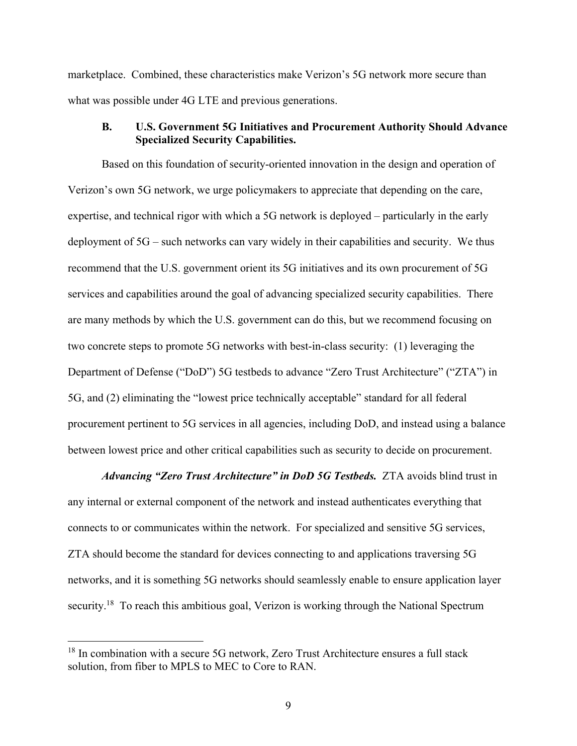marketplace. Combined, these characteristics make Verizon's 5G network more secure than what was possible under 4G LTE and previous generations.

#### **B. U.S. Government 5G Initiatives and Procurement Authority Should Advance Specialized Security Capabilities.**

Based on this foundation of security-oriented innovation in the design and operation of Verizon's own 5G network, we urge policymakers to appreciate that depending on the care, expertise, and technical rigor with which a 5G network is deployed – particularly in the early deployment of 5G – such networks can vary widely in their capabilities and security. We thus recommend that the U.S. government orient its 5G initiatives and its own procurement of 5G services and capabilities around the goal of advancing specialized security capabilities. There are many methods by which the U.S. government can do this, but we recommend focusing on two concrete steps to promote 5G networks with best-in-class security: (1) leveraging the Department of Defense ("DoD") 5G testbeds to advance "Zero Trust Architecture" ("ZTA") in 5G, and (2) eliminating the "lowest price technically acceptable" standard for all federal procurement pertinent to 5G services in all agencies, including DoD, and instead using a balance between lowest price and other critical capabilities such as security to decide on procurement.

*Advancing "Zero Trust Architecture" in DoD 5G Testbeds.* ZTA avoids blind trust in any internal or external component of the network and instead authenticates everything that connects to or communicates within the network. For specialized and sensitive 5G services, ZTA should become the standard for devices connecting to and applications traversing 5G networks, and it is something 5G networks should seamlessly enable to ensure application layer security.<sup>18</sup> To reach this ambitious goal, Verizon is working through the National Spectrum

<sup>&</sup>lt;sup>18</sup> In combination with a secure 5G network, Zero Trust Architecture ensures a full stack solution, from fiber to MPLS to MEC to Core to RAN.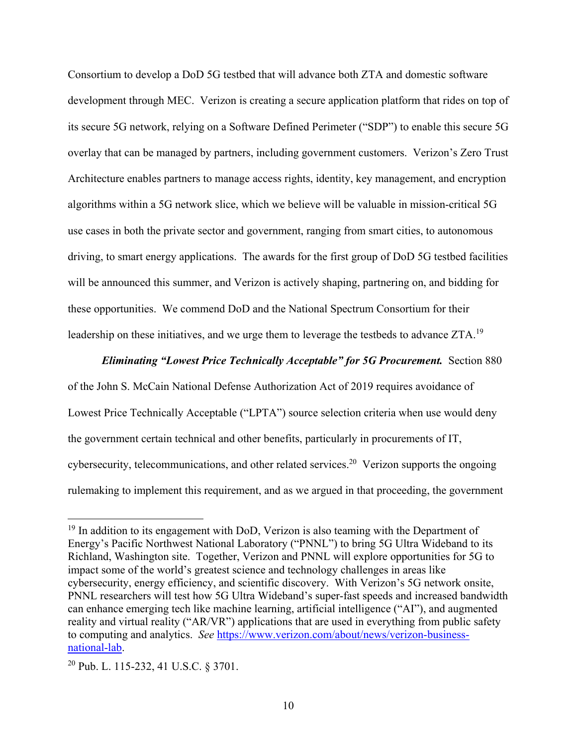Consortium to develop a DoD 5G testbed that will advance both ZTA and domestic software development through MEC. Verizon is creating a secure application platform that rides on top of its secure 5G network, relying on a Software Defined Perimeter ("SDP") to enable this secure 5G overlay that can be managed by partners, including government customers. Verizon's Zero Trust Architecture enables partners to manage access rights, identity, key management, and encryption algorithms within a 5G network slice, which we believe will be valuable in mission-critical 5G use cases in both the private sector and government, ranging from smart cities, to autonomous driving, to smart energy applications. The awards for the first group of DoD 5G testbed facilities will be announced this summer, and Verizon is actively shaping, partnering on, and bidding for these opportunities. We commend DoD and the National Spectrum Consortium for their leadership on these initiatives, and we urge them to leverage the testbeds to advance ZTA.<sup>19</sup>

#### *Eliminating "Lowest Price Technically Acceptable" for 5G Procurement.* Section 880

of the John S. McCain National Defense Authorization Act of 2019 requires avoidance of Lowest Price Technically Acceptable ("LPTA") source selection criteria when use would deny the government certain technical and other benefits, particularly in procurements of IT, cybersecurity, telecommunications, and other related services.<sup>20</sup> Verizon supports the ongoing rulemaking to implement this requirement, and as we argued in that proceeding, the government

 $19$  In addition to its engagement with DoD, Verizon is also teaming with the Department of Energy's Pacific Northwest National Laboratory ("PNNL") to bring 5G Ultra Wideband to its Richland, Washington site. Together, Verizon and PNNL will explore opportunities for 5G to impact some of the world's greatest science and technology challenges in areas like cybersecurity, energy efficiency, and scientific discovery. With Verizon's 5G network onsite, PNNL researchers will test how 5G Ultra Wideband's super-fast speeds and increased bandwidth can enhance emerging tech like machine learning, artificial intelligence ("AI"), and augmented reality and virtual reality ("AR/VR") applications that are used in everything from public safety to computing and analytics. *See* https://www.verizon.com/about/news/verizon-businessnational-lab.

<sup>20</sup> Pub. L. 115-232, 41 U.S.C. § 3701.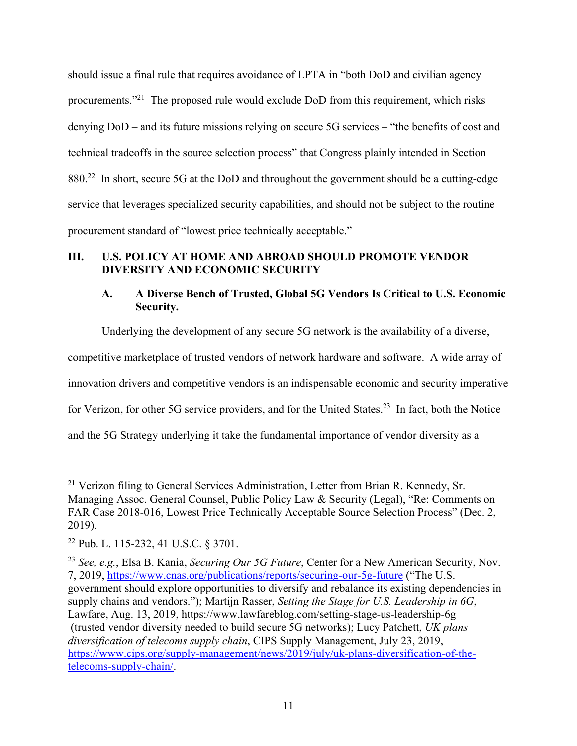should issue a final rule that requires avoidance of LPTA in "both DoD and civilian agency procurements."<sup>21</sup> The proposed rule would exclude DoD from this requirement, which risks denying DoD – and its future missions relying on secure 5G services – "the benefits of cost and technical tradeoffs in the source selection process" that Congress plainly intended in Section 880.<sup>22</sup> In short, secure 5G at the DoD and throughout the government should be a cutting-edge service that leverages specialized security capabilities, and should not be subject to the routine procurement standard of "lowest price technically acceptable."

# **III. U.S. POLICY AT HOME AND ABROAD SHOULD PROMOTE VENDOR DIVERSITY AND ECONOMIC SECURITY**

# **A. A Diverse Bench of Trusted, Global 5G Vendors Is Critical to U.S. Economic Security.**

Underlying the development of any secure 5G network is the availability of a diverse,

competitive marketplace of trusted vendors of network hardware and software. A wide array of

innovation drivers and competitive vendors is an indispensable economic and security imperative

for Verizon, for other 5G service providers, and for the United States.<sup>23</sup> In fact, both the Notice

and the 5G Strategy underlying it take the fundamental importance of vendor diversity as a

<sup>&</sup>lt;sup>21</sup> Verizon filing to General Services Administration, Letter from Brian R. Kennedy, Sr. Managing Assoc. General Counsel, Public Policy Law & Security (Legal), "Re: Comments on FAR Case 2018-016, Lowest Price Technically Acceptable Source Selection Process" (Dec. 2, 2019).

<sup>22</sup> Pub. L. 115-232, 41 U.S.C. § 3701.

<sup>23</sup> *See, e.g.*, Elsa B. Kania, *Securing Our 5G Future*, Center for a New American Security, Nov. 7, 2019, https://www.cnas.org/publications/reports/securing-our-5g-future ("The U.S. government should explore opportunities to diversify and rebalance its existing dependencies in supply chains and vendors."); Martijn Rasser, *Setting the Stage for U.S. Leadership in 6G*,

Lawfare, Aug. 13, 2019, https://www.lawfareblog.com/setting-stage-us-leadership-6g

 <sup>(</sup>trusted vendor diversity needed to build secure 5G networks); Lucy Patchett, *UK plans diversification of telecoms supply chain*, CIPS Supply Management, July 23, 2019, https://www.cips.org/supply-management/news/2019/july/uk-plans-diversification-of-thetelecoms-supply-chain/.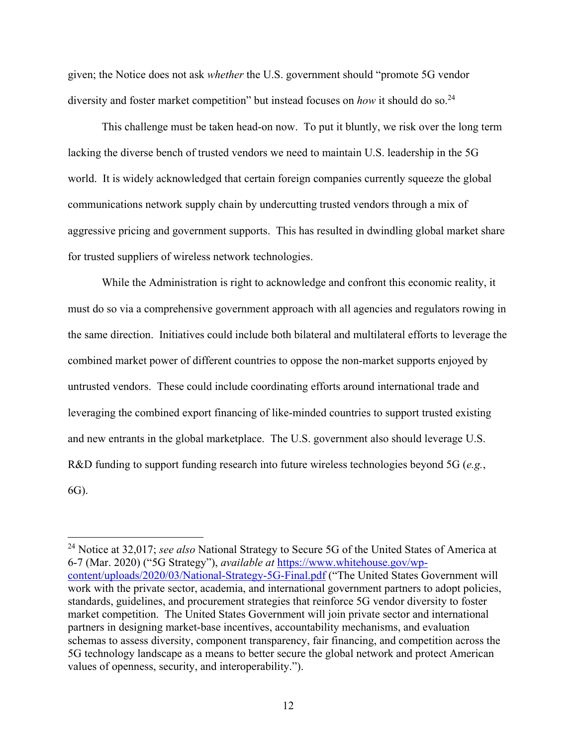given; the Notice does not ask *whether* the U.S. government should "promote 5G vendor diversity and foster market competition" but instead focuses on *how* it should do so.<sup>24</sup>

This challenge must be taken head-on now. To put it bluntly, we risk over the long term lacking the diverse bench of trusted vendors we need to maintain U.S. leadership in the 5G world. It is widely acknowledged that certain foreign companies currently squeeze the global communications network supply chain by undercutting trusted vendors through a mix of aggressive pricing and government supports. This has resulted in dwindling global market share for trusted suppliers of wireless network technologies.

While the Administration is right to acknowledge and confront this economic reality, it must do so via a comprehensive government approach with all agencies and regulators rowing in the same direction. Initiatives could include both bilateral and multilateral efforts to leverage the combined market power of different countries to oppose the non-market supports enjoyed by untrusted vendors. These could include coordinating efforts around international trade and leveraging the combined export financing of like-minded countries to support trusted existing and new entrants in the global marketplace. The U.S. government also should leverage U.S. R&D funding to support funding research into future wireless technologies beyond 5G (*e.g.*, 6G).

<sup>24</sup> Notice at 32,017; *see also* National Strategy to Secure 5G of the United States of America at 6-7 (Mar. 2020) ("5G Strategy"), *available at* https://www.whitehouse.gov/wpcontent/uploads/2020/03/National-Strategy-5G-Final.pdf ("The United States Government will work with the private sector, academia, and international government partners to adopt policies, standards, guidelines, and procurement strategies that reinforce 5G vendor diversity to foster market competition. The United States Government will join private sector and international partners in designing market-base incentives, accountability mechanisms, and evaluation schemas to assess diversity, component transparency, fair financing, and competition across the 5G technology landscape as a means to better secure the global network and protect American values of openness, security, and interoperability.").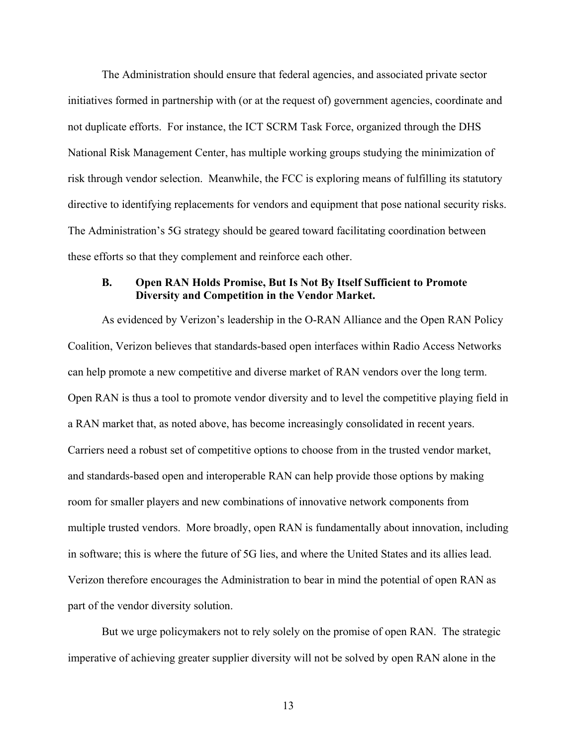The Administration should ensure that federal agencies, and associated private sector initiatives formed in partnership with (or at the request of) government agencies, coordinate and not duplicate efforts. For instance, the ICT SCRM Task Force, organized through the DHS National Risk Management Center, has multiple working groups studying the minimization of risk through vendor selection. Meanwhile, the FCC is exploring means of fulfilling its statutory directive to identifying replacements for vendors and equipment that pose national security risks. The Administration's 5G strategy should be geared toward facilitating coordination between these efforts so that they complement and reinforce each other.

### **B. Open RAN Holds Promise, But Is Not By Itself Sufficient to Promote Diversity and Competition in the Vendor Market.**

As evidenced by Verizon's leadership in the O-RAN Alliance and the Open RAN Policy Coalition, Verizon believes that standards-based open interfaces within Radio Access Networks can help promote a new competitive and diverse market of RAN vendors over the long term. Open RAN is thus a tool to promote vendor diversity and to level the competitive playing field in a RAN market that, as noted above, has become increasingly consolidated in recent years. Carriers need a robust set of competitive options to choose from in the trusted vendor market, and standards-based open and interoperable RAN can help provide those options by making room for smaller players and new combinations of innovative network components from multiple trusted vendors. More broadly, open RAN is fundamentally about innovation, including in software; this is where the future of 5G lies, and where the United States and its allies lead. Verizon therefore encourages the Administration to bear in mind the potential of open RAN as part of the vendor diversity solution.

But we urge policymakers not to rely solely on the promise of open RAN. The strategic imperative of achieving greater supplier diversity will not be solved by open RAN alone in the

13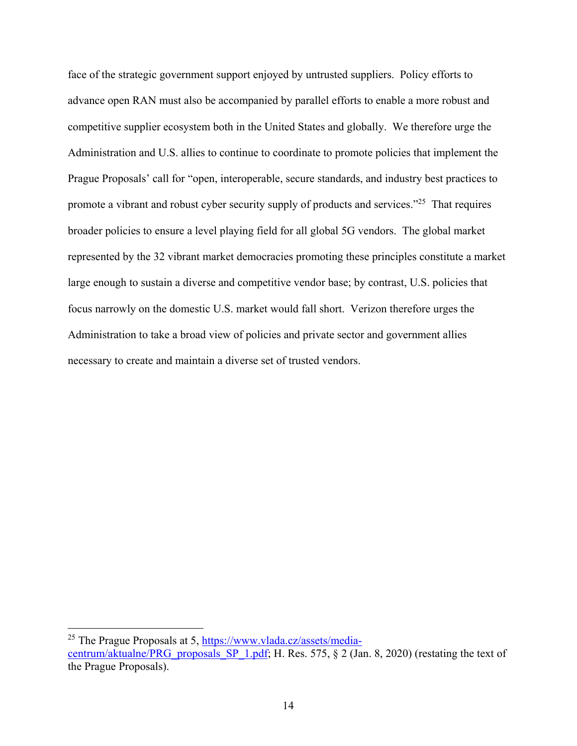face of the strategic government support enjoyed by untrusted suppliers. Policy efforts to advance open RAN must also be accompanied by parallel efforts to enable a more robust and competitive supplier ecosystem both in the United States and globally. We therefore urge the Administration and U.S. allies to continue to coordinate to promote policies that implement the Prague Proposals' call for "open, interoperable, secure standards, and industry best practices to promote a vibrant and robust cyber security supply of products and services."<sup>25</sup> That requires broader policies to ensure a level playing field for all global 5G vendors. The global market represented by the 32 vibrant market democracies promoting these principles constitute a market large enough to sustain a diverse and competitive vendor base; by contrast, U.S. policies that focus narrowly on the domestic U.S. market would fall short. Verizon therefore urges the Administration to take a broad view of policies and private sector and government allies necessary to create and maintain a diverse set of trusted vendors.

<sup>25</sup> The Prague Proposals at 5, https://www.vlada.cz/assets/media-

centrum/aktualne/PRG\_proposals\_SP\_1.pdf; H. Res. 575,  $\S$  2 (Jan. 8, 2020) (restating the text of the Prague Proposals).